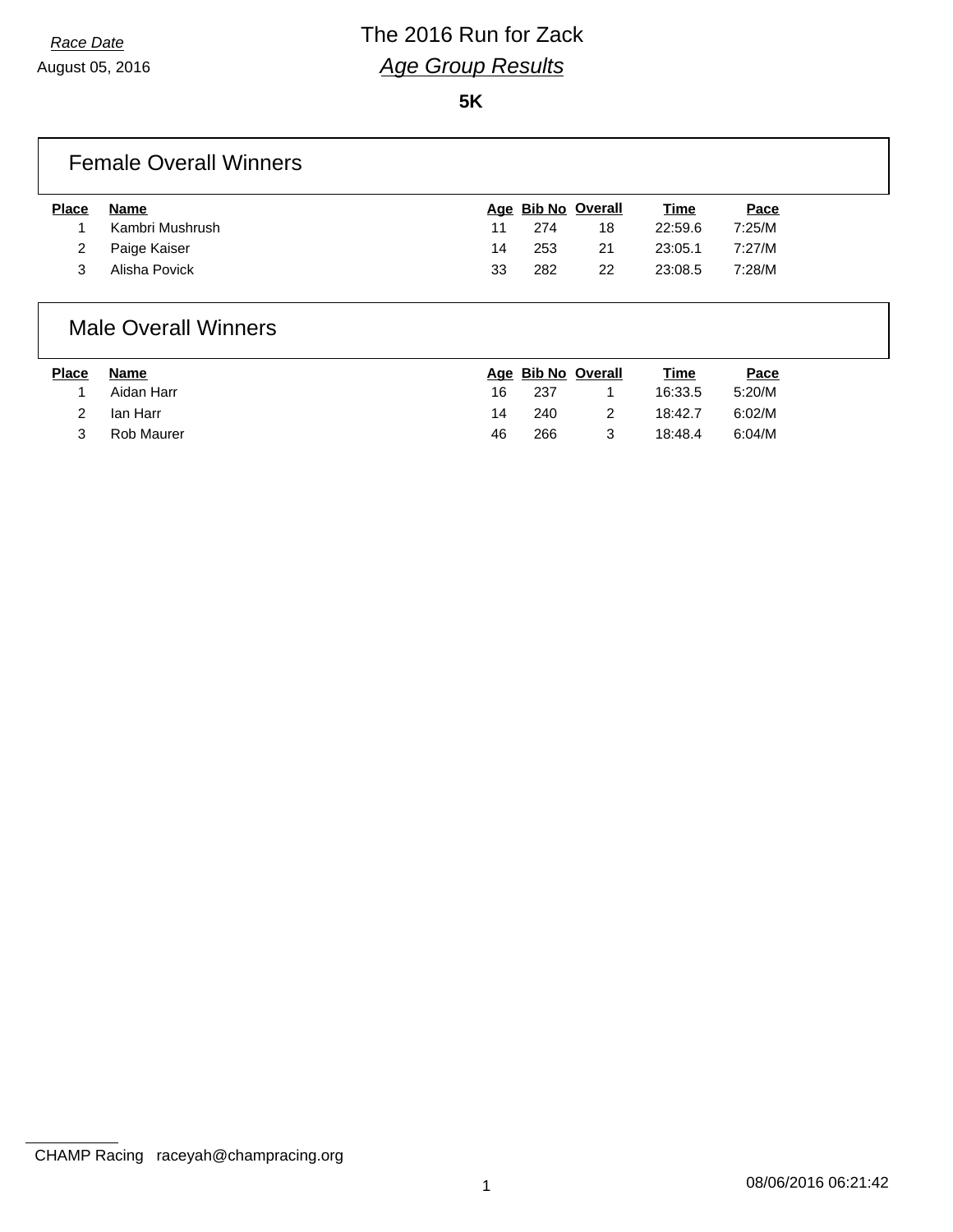**5K**

#### Female Overall Winners

| <b>Place</b> | Name            |    | Age Bib No Overall |    | <u>Time</u> | Pace   |
|--------------|-----------------|----|--------------------|----|-------------|--------|
|              | Kambri Mushrush | 11 | 274                | 18 | 22:59.6     | 7:25/M |
| 2            | Paige Kaiser    | 14 | 253                | 21 | 23:05.1     | 7:27/M |
|              | Alisha Povick   | 33 | 282                | 22 | 23:08.5     | 7:28/M |

### Male Overall Winners

| <b>Place</b> | Name       |    | Age Bib No Overall |   | <u>Time</u> | Pace   |
|--------------|------------|----|--------------------|---|-------------|--------|
|              | Aidan Harr | 16 | 237                |   | 16:33.5     | 5:20/M |
|              | lan Harr   | 14 | 240                |   | 18:42.7     | 6:02/M |
|              | Rob Maurer | 46 | 266                | 3 | 18:48.4     | 6:04/M |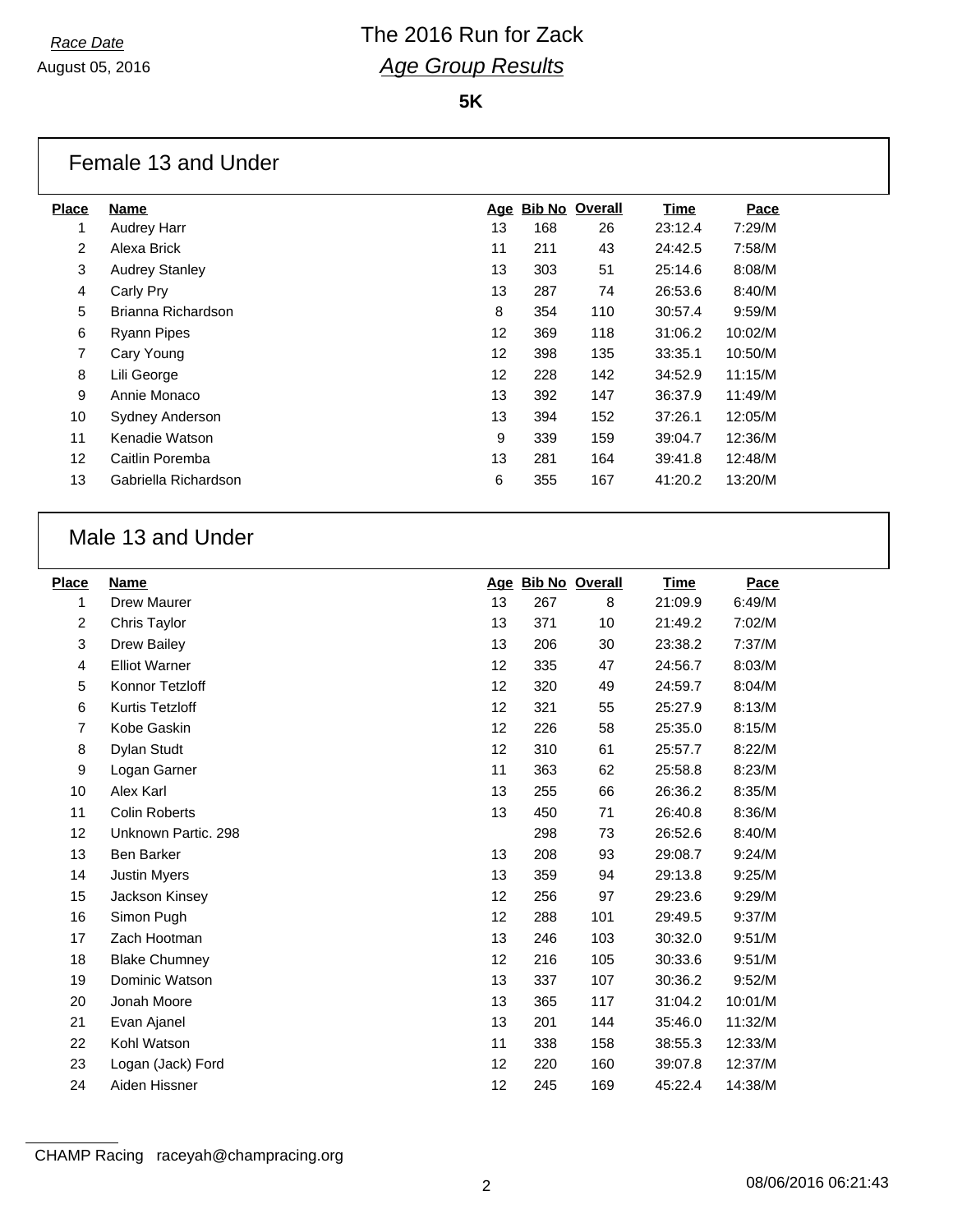**5K**

#### Female 13 and Under

| Place          | Name                  |                   | Age Bib No Overall |     | Time    | Pace    |
|----------------|-----------------------|-------------------|--------------------|-----|---------|---------|
| 1              | <b>Audrey Harr</b>    | 13                | 168                | 26  | 23:12.4 | 7:29/M  |
| $\overline{2}$ | Alexa Brick           | 11                | 211                | 43  | 24:42.5 | 7:58/M  |
| 3              | <b>Audrey Stanley</b> | 13                | 303                | 51  | 25:14.6 | 8:08/M  |
| 4              | Carly Pry             | 13                | 287                | 74  | 26:53.6 | 8:40/M  |
| 5              | Brianna Richardson    | 8                 | 354                | 110 | 30:57.4 | 9:59/M  |
| 6              | <b>Ryann Pipes</b>    | $12 \overline{ }$ | 369                | 118 | 31:06.2 | 10:02/M |
| 7              | Cary Young            | 12 <sup>2</sup>   | 398                | 135 | 33:35.1 | 10:50/M |
| 8              | Lili George           | $12 \overline{ }$ | 228                | 142 | 34:52.9 | 11:15/M |
| 9              | Annie Monaco          | 13                | 392                | 147 | 36:37.9 | 11:49/M |
| 10             | Sydney Anderson       | 13                | 394                | 152 | 37:26.1 | 12:05/M |
| 11             | Kenadie Watson        | 9                 | 339                | 159 | 39:04.7 | 12:36/M |
| 12             | Caitlin Poremba       | 13                | 281                | 164 | 39:41.8 | 12:48/M |
| 13             | Gabriella Richardson  | 6                 | 355                | 167 | 41:20.2 | 13:20/M |
|                |                       |                   |                    |     |         |         |

### Male 13 and Under

| <b>Name</b>          |    |     |     | <b>Time</b>        | Pace    |
|----------------------|----|-----|-----|--------------------|---------|
| <b>Drew Maurer</b>   | 13 | 267 | 8   | 21:09.9            | 6:49/M  |
| Chris Taylor         | 13 | 371 | 10  | 21:49.2            | 7:02/M  |
| <b>Drew Bailey</b>   | 13 | 206 | 30  | 23:38.2            | 7:37/M  |
| <b>Elliot Warner</b> | 12 | 335 | 47  | 24:56.7            | 8:03/M  |
| Konnor Tetzloff      | 12 | 320 | 49  | 24:59.7            | 8:04/M  |
| Kurtis Tetzloff      | 12 | 321 | 55  | 25:27.9            | 8:13/M  |
| Kobe Gaskin          | 12 | 226 | 58  | 25:35.0            | 8:15/M  |
| Dylan Studt          | 12 | 310 | 61  | 25:57.7            | 8:22/M  |
| Logan Garner         | 11 | 363 | 62  | 25:58.8            | 8:23/M  |
| Alex Karl            | 13 | 255 | 66  | 26:36.2            | 8:35/M  |
| <b>Colin Roberts</b> | 13 | 450 | 71  | 26:40.8            | 8:36/M  |
| Unknown Partic. 298  |    | 298 | 73  | 26:52.6            | 8:40/M  |
| Ben Barker           | 13 | 208 | 93  | 29:08.7            | 9:24/M  |
| <b>Justin Myers</b>  | 13 | 359 | 94  | 29:13.8            | 9:25/M  |
| Jackson Kinsey       | 12 | 256 | 97  | 29:23.6            | 9:29/M  |
| Simon Pugh           | 12 | 288 | 101 | 29:49.5            | 9:37/M  |
| Zach Hootman         | 13 | 246 | 103 | 30:32.0            | 9:51/M  |
| <b>Blake Chumney</b> | 12 | 216 | 105 | 30:33.6            | 9:51/M  |
| Dominic Watson       | 13 | 337 | 107 | 30:36.2            | 9:52/M  |
| Jonah Moore          | 13 | 365 | 117 | 31:04.2            | 10:01/M |
| Evan Ajanel          | 13 | 201 | 144 | 35:46.0            | 11:32/M |
| Kohl Watson          | 11 | 338 | 158 | 38:55.3            | 12:33/M |
| Logan (Jack) Ford    | 12 | 220 | 160 | 39:07.8            | 12:37/M |
| Aiden Hissner        | 12 | 245 | 169 | 45:22.4            | 14:38/M |
|                      |    |     |     | Age Bib No Overall |         |

CHAMP Racing raceyah@champracing.org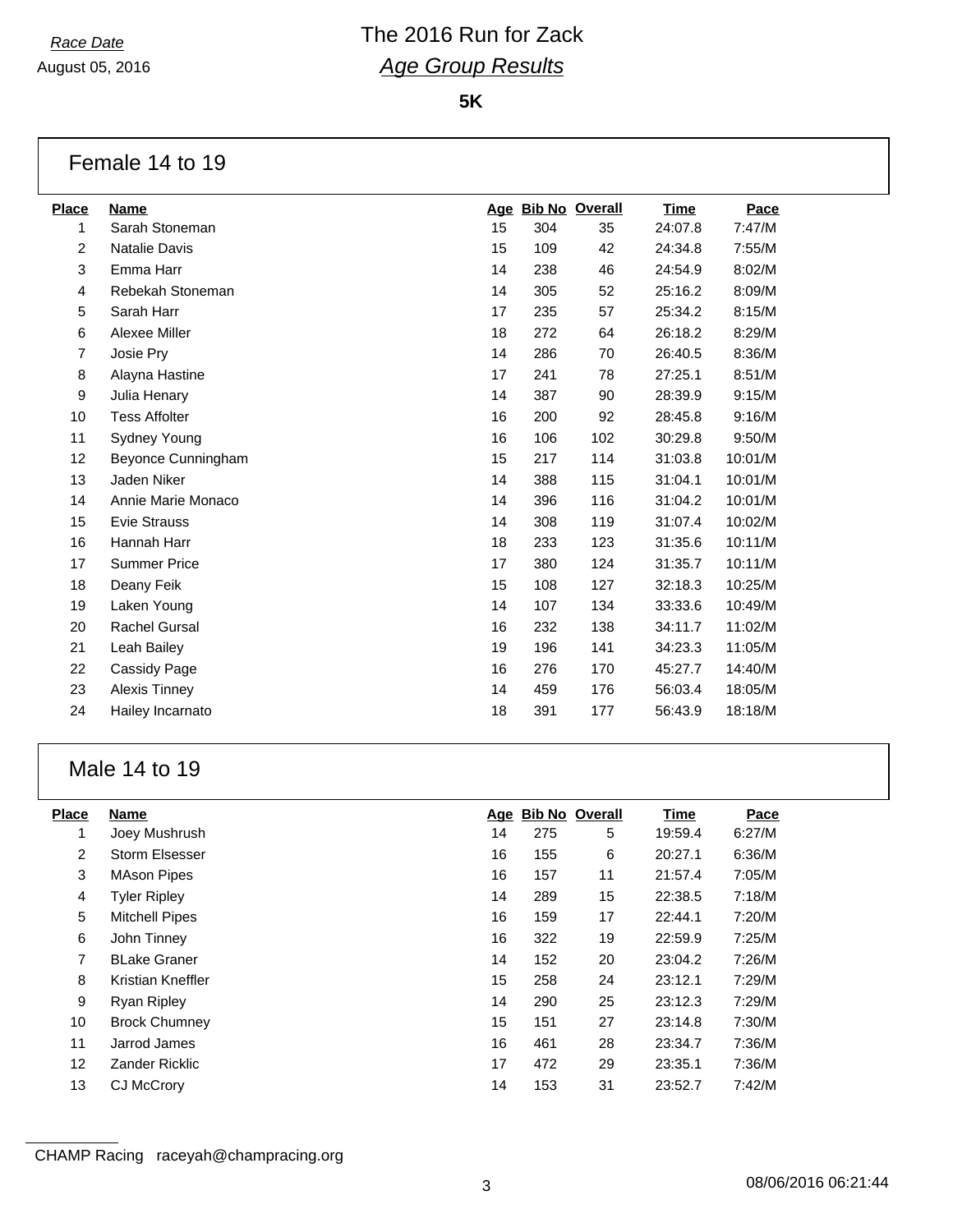August 05, 2016

**5K**

#### Female 14 to 19

| Place          | Name                 |    | Age Bib No Overall |     | <u>Time</u> | Pace    |
|----------------|----------------------|----|--------------------|-----|-------------|---------|
| 1              | Sarah Stoneman       | 15 | 304                | 35  | 24:07.8     | 7:47/M  |
| $\overline{c}$ | Natalie Davis        | 15 | 109                | 42  | 24:34.8     | 7:55/M  |
| 3              | Emma Harr            | 14 | 238                | 46  | 24:54.9     | 8:02/M  |
| 4              | Rebekah Stoneman     | 14 | 305                | 52  | 25:16.2     | 8:09/M  |
| 5              | Sarah Harr           | 17 | 235                | 57  | 25:34.2     | 8:15/M  |
| 6              | Alexee Miller        | 18 | 272                | 64  | 26:18.2     | 8:29/M  |
| $\overline{7}$ | Josie Pry            | 14 | 286                | 70  | 26:40.5     | 8:36/M  |
| 8              | Alayna Hastine       | 17 | 241                | 78  | 27:25.1     | 8:51/M  |
| 9              | Julia Henary         | 14 | 387                | 90  | 28:39.9     | 9:15/M  |
| 10             | <b>Tess Affolter</b> | 16 | 200                | 92  | 28:45.8     | 9:16/M  |
| 11             | Sydney Young         | 16 | 106                | 102 | 30:29.8     | 9:50/M  |
| 12             | Beyonce Cunningham   | 15 | 217                | 114 | 31:03.8     | 10:01/M |
| 13             | Jaden Niker          | 14 | 388                | 115 | 31:04.1     | 10:01/M |
| 14             | Annie Marie Monaco   | 14 | 396                | 116 | 31:04.2     | 10:01/M |
| 15             | <b>Evie Strauss</b>  | 14 | 308                | 119 | 31:07.4     | 10:02/M |
| 16             | Hannah Harr          | 18 | 233                | 123 | 31:35.6     | 10:11/M |
| 17             | <b>Summer Price</b>  | 17 | 380                | 124 | 31:35.7     | 10:11/M |
| 18             | Deany Feik           | 15 | 108                | 127 | 32:18.3     | 10:25/M |
| 19             | Laken Young          | 14 | 107                | 134 | 33:33.6     | 10:49/M |
| 20             | <b>Rachel Gursal</b> | 16 | 232                | 138 | 34:11.7     | 11:02/M |
| 21             | Leah Bailey          | 19 | 196                | 141 | 34:23.3     | 11:05/M |
| 22             | Cassidy Page         | 16 | 276                | 170 | 45:27.7     | 14:40/M |
| 23             | <b>Alexis Tinney</b> | 14 | 459                | 176 | 56:03.4     | 18:05/M |
| 24             | Hailey Incarnato     | 18 | 391                | 177 | 56:43.9     | 18:18/M |

### Male 14 to 19

| <b>Place</b>   | <b>Name</b>           |    | Age Bib No Overall |    | <b>Time</b> | Pace   |
|----------------|-----------------------|----|--------------------|----|-------------|--------|
| 1              | Joey Mushrush         | 14 | 275                | 5  | 19:59.4     | 6:27/M |
| $\overline{2}$ | <b>Storm Elsesser</b> | 16 | 155                | 6  | 20:27.1     | 6:36/M |
| 3              | <b>MAson Pipes</b>    | 16 | 157                | 11 | 21:57.4     | 7:05/M |
| 4              | <b>Tyler Ripley</b>   | 14 | 289                | 15 | 22:38.5     | 7:18/M |
| 5              | <b>Mitchell Pipes</b> | 16 | 159                | 17 | 22:44.1     | 7:20/M |
| 6              | John Tinney           | 16 | 322                | 19 | 22:59.9     | 7:25/M |
| 7              | <b>BLake Graner</b>   | 14 | 152                | 20 | 23:04.2     | 7:26/M |
| 8              | Kristian Kneffler     | 15 | 258                | 24 | 23:12.1     | 7:29/M |
| 9              | <b>Ryan Ripley</b>    | 14 | 290                | 25 | 23:12.3     | 7:29/M |
| 10             | <b>Brock Chumney</b>  | 15 | 151                | 27 | 23:14.8     | 7:30/M |
| 11             | Jarrod James          | 16 | 461                | 28 | 23:34.7     | 7:36/M |
| 12             | <b>Zander Ricklic</b> | 17 | 472                | 29 | 23:35.1     | 7:36/M |
| 13             | <b>CJ McCrory</b>     | 14 | 153                | 31 | 23:52.7     | 7:42/M |

CHAMP Racing raceyah@champracing.org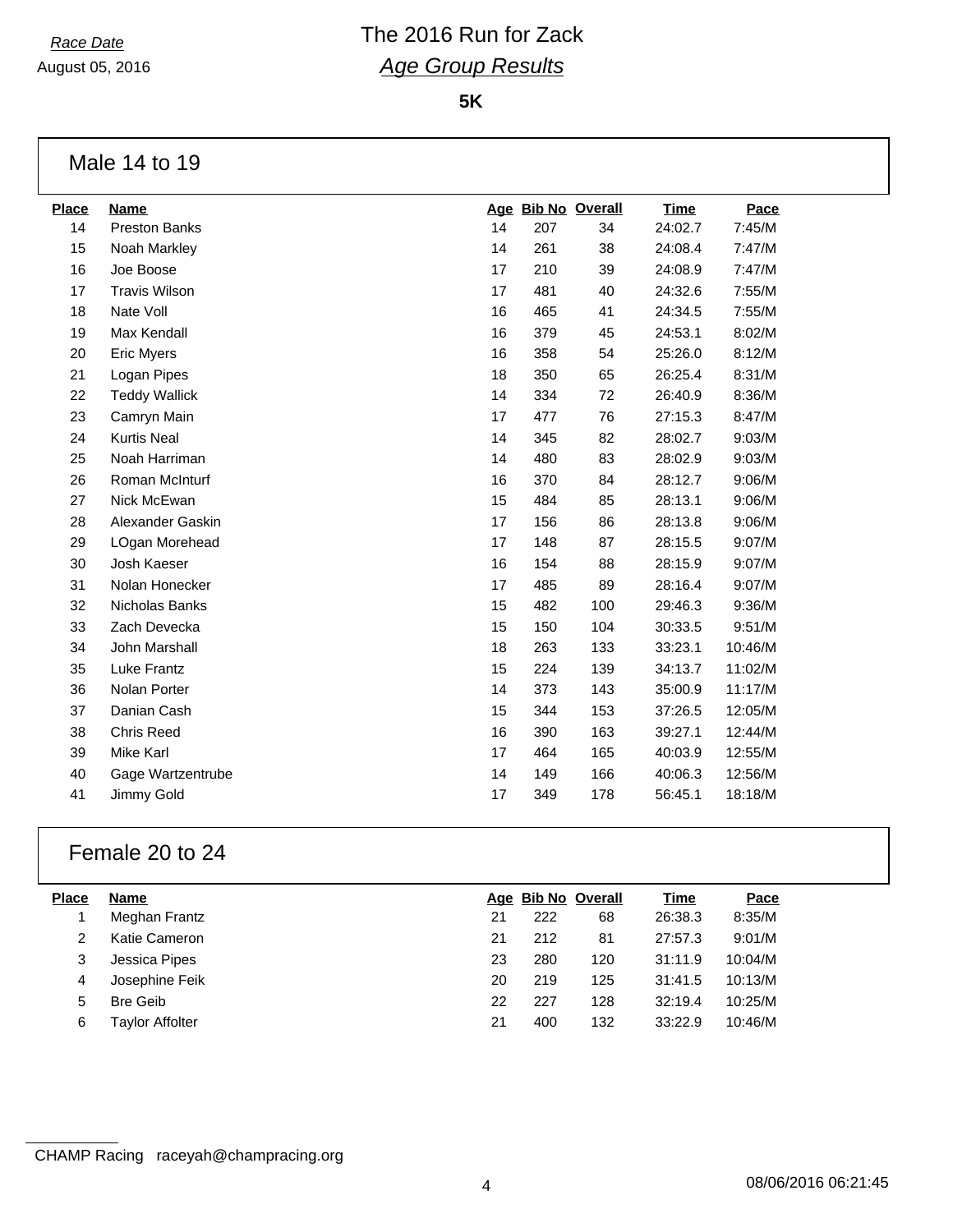August 05, 2016

**5K**

### Male 14 to 19

| <u>Place</u> | <b>Name</b>          |    | Age Bib No Overall |     | <u>Time</u> | Pace    |
|--------------|----------------------|----|--------------------|-----|-------------|---------|
| 14           | <b>Preston Banks</b> | 14 | 207                | 34  | 24:02.7     | 7:45/M  |
| 15           | Noah Markley         | 14 | 261                | 38  | 24:08.4     | 7:47/M  |
| 16           | Joe Boose            | 17 | 210                | 39  | 24:08.9     | 7:47/M  |
| 17           | <b>Travis Wilson</b> | 17 | 481                | 40  | 24:32.6     | 7:55/M  |
| 18           | Nate Voll            | 16 | 465                | 41  | 24:34.5     | 7:55/M  |
| 19           | Max Kendall          | 16 | 379                | 45  | 24:53.1     | 8:02/M  |
| 20           | <b>Eric Myers</b>    | 16 | 358                | 54  | 25:26.0     | 8:12/M  |
| 21           | Logan Pipes          | 18 | 350                | 65  | 26:25.4     | 8:31/M  |
| 22           | <b>Teddy Wallick</b> | 14 | 334                | 72  | 26:40.9     | 8:36/M  |
| 23           | Camryn Main          | 17 | 477                | 76  | 27:15.3     | 8:47/M  |
| 24           | <b>Kurtis Neal</b>   | 14 | 345                | 82  | 28:02.7     | 9:03/M  |
| 25           | Noah Harriman        | 14 | 480                | 83  | 28:02.9     | 9:03/M  |
| 26           | Roman McInturf       | 16 | 370                | 84  | 28:12.7     | 9:06/M  |
| 27           | Nick McEwan          | 15 | 484                | 85  | 28:13.1     | 9:06/M  |
| 28           | Alexander Gaskin     | 17 | 156                | 86  | 28:13.8     | 9:06/M  |
| 29           | LOgan Morehead       | 17 | 148                | 87  | 28:15.5     | 9:07/M  |
| 30           | Josh Kaeser          | 16 | 154                | 88  | 28:15.9     | 9:07/M  |
| 31           | Nolan Honecker       | 17 | 485                | 89  | 28:16.4     | 9:07/M  |
| 32           | Nicholas Banks       | 15 | 482                | 100 | 29:46.3     | 9:36/M  |
| 33           | Zach Devecka         | 15 | 150                | 104 | 30:33.5     | 9:51/M  |
| 34           | John Marshall        | 18 | 263                | 133 | 33:23.1     | 10:46/M |
| 35           | Luke Frantz          | 15 | 224                | 139 | 34:13.7     | 11:02/M |
| 36           | Nolan Porter         | 14 | 373                | 143 | 35:00.9     | 11:17/M |
| 37           | Danian Cash          | 15 | 344                | 153 | 37:26.5     | 12:05/M |
| 38           | Chris Reed           | 16 | 390                | 163 | 39:27.1     | 12:44/M |
| 39           | Mike Karl            | 17 | 464                | 165 | 40:03.9     | 12:55/M |
| 40           | Gage Wartzentrube    | 14 | 149                | 166 | 40:06.3     | 12:56/M |
| 41           | Jimmy Gold           | 17 | 349                | 178 | 56:45.1     | 18:18/M |
|              |                      |    |                    |     |             |         |

### Female 20 to 24

| <b>Place</b> | <b>Name</b>            |    | Age Bib No Overall |     | Time    | Pace    |  |
|--------------|------------------------|----|--------------------|-----|---------|---------|--|
|              | Meghan Frantz          | 21 | 222                | 68  | 26:38.3 | 8:35/M  |  |
|              | Katie Cameron          | 21 | 212                | 81  | 27:57.3 | 9:01/M  |  |
| 3            | Jessica Pipes          | 23 | 280                | 120 | 31:11.9 | 10:04/M |  |
| 4            | Josephine Feik         | 20 | 219                | 125 | 31:41.5 | 10:13/M |  |
| 5            | <b>Bre Geib</b>        | 22 | 227                | 128 | 32:19.4 | 10:25/M |  |
| 6            | <b>Taylor Affolter</b> | 21 | 400                | 132 | 33:22.9 | 10:46/M |  |
|              |                        |    |                    |     |         |         |  |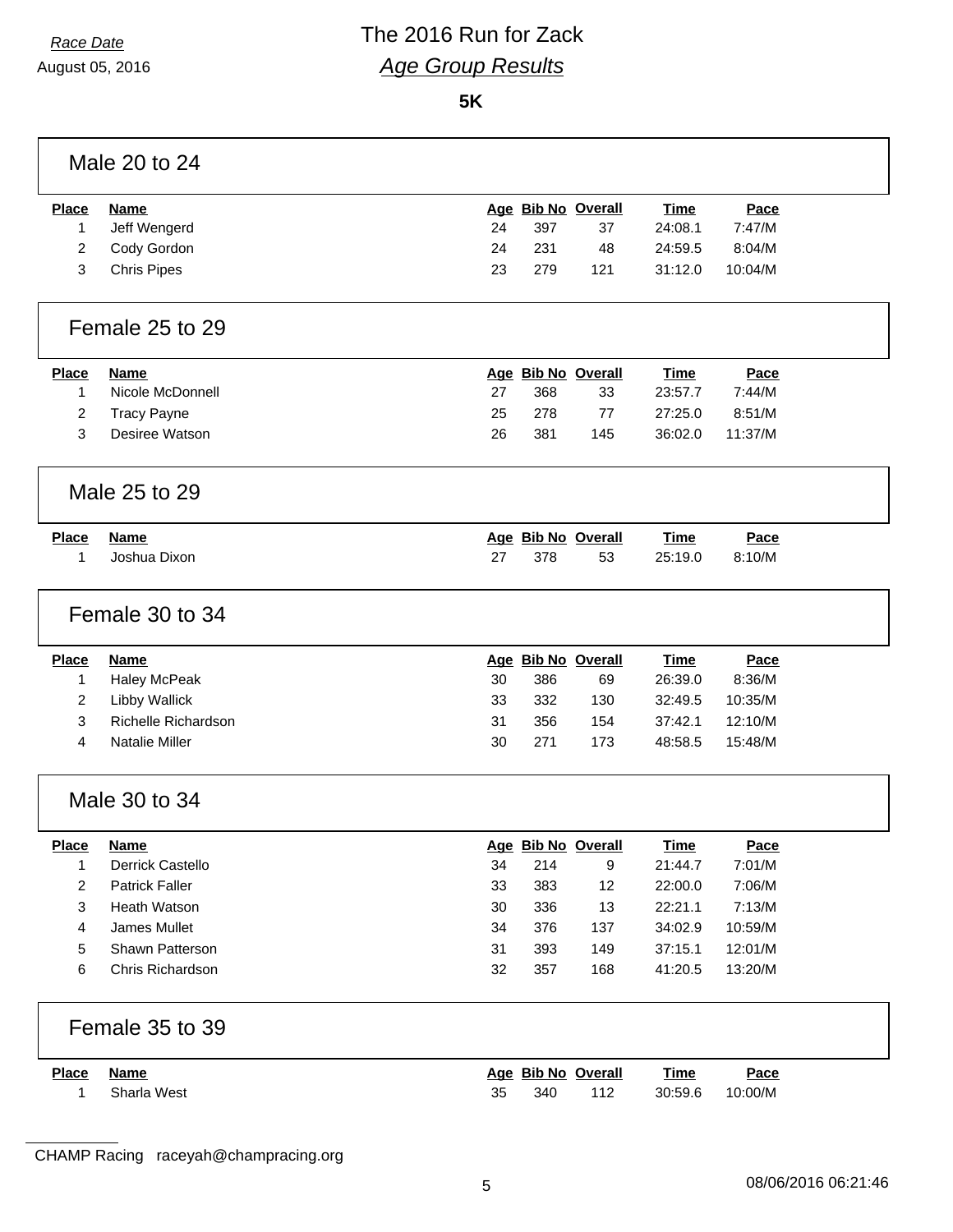**5K**

|                | Male 20 to 24         |    |     |                    |             |         |  |
|----------------|-----------------------|----|-----|--------------------|-------------|---------|--|
| <b>Place</b>   | <b>Name</b>           |    |     | Age Bib No Overall | <b>Time</b> | Pace    |  |
| $\mathbf{1}$   | Jeff Wengerd          | 24 | 397 | 37                 | 24:08.1     | 7:47/M  |  |
| $\overline{c}$ | Cody Gordon           | 24 | 231 | 48                 | 24:59.5     | 8:04/M  |  |
| 3              | <b>Chris Pipes</b>    | 23 | 279 | 121                | 31:12.0     | 10:04/M |  |
|                | Female 25 to 29       |    |     |                    |             |         |  |
| <b>Place</b>   | <b>Name</b>           |    |     | Age Bib No Overall | <b>Time</b> | Pace    |  |
| $\mathbf{1}$   | Nicole McDonnell      | 27 | 368 | 33                 | 23:57.7     | 7:44/M  |  |
| $\overline{c}$ | <b>Tracy Payne</b>    | 25 | 278 | 77                 | 27:25.0     | 8:51/M  |  |
| 3              | Desiree Watson        | 26 | 381 | 145                | 36:02.0     | 11:37/M |  |
|                | Male 25 to 29         |    |     |                    |             |         |  |
| <b>Place</b>   | <b>Name</b>           |    |     | Age Bib No Overall | <b>Time</b> | Pace    |  |
| 1              | Joshua Dixon          | 27 | 378 | 53                 | 25:19.0     | 8:10/M  |  |
|                | Female 30 to 34       |    |     |                    |             |         |  |
| <b>Place</b>   | <b>Name</b>           |    |     | Age Bib No Overall | <b>Time</b> | Pace    |  |
| 1              | <b>Haley McPeak</b>   | 30 | 386 | 69                 | 26:39.0     | 8:36/M  |  |
| 2              | <b>Libby Wallick</b>  | 33 | 332 | 130                | 32:49.5     | 10:35/M |  |
| 3              | Richelle Richardson   | 31 | 356 | 154                | 37:42.1     | 12:10/M |  |
| 4              | Natalie Miller        | 30 | 271 | 173                | 48:58.5     | 15:48/M |  |
|                | Male 30 to 34         |    |     |                    |             |         |  |
| <b>Place</b>   | <b>Name</b>           |    |     | Age Bib No Overall | <b>Time</b> | Pace    |  |
| 1              | Derrick Castello      | 34 | 214 | 9                  | 21:44.7     | 7:01/M  |  |
| 2              | <b>Patrick Faller</b> | 33 | 383 | 12                 | 22:00.0     | 7:06/M  |  |
| 3              | Heath Watson          | 30 | 336 | 13                 | 22:21.1     | 7:13/M  |  |
| 4              | James Mullet          | 34 | 376 | 137                | 34:02.9     | 10:59/M |  |
| 5              | Shawn Patterson       | 31 | 393 | 149                | 37:15.1     | 12:01/M |  |
| 6              | Chris Richardson      | 32 | 357 | 168                | 41:20.5     | 13:20/M |  |
|                | Female 35 to 39       |    |     |                    |             |         |  |
| <b>Place</b>   | <b>Name</b>           |    |     | Age Bib No Overall | <b>Time</b> | Pace    |  |
| 1              | Sharla West           | 35 | 340 | 112                | 30:59.6     | 10:00/M |  |

CHAMP Racing raceyah@champracing.org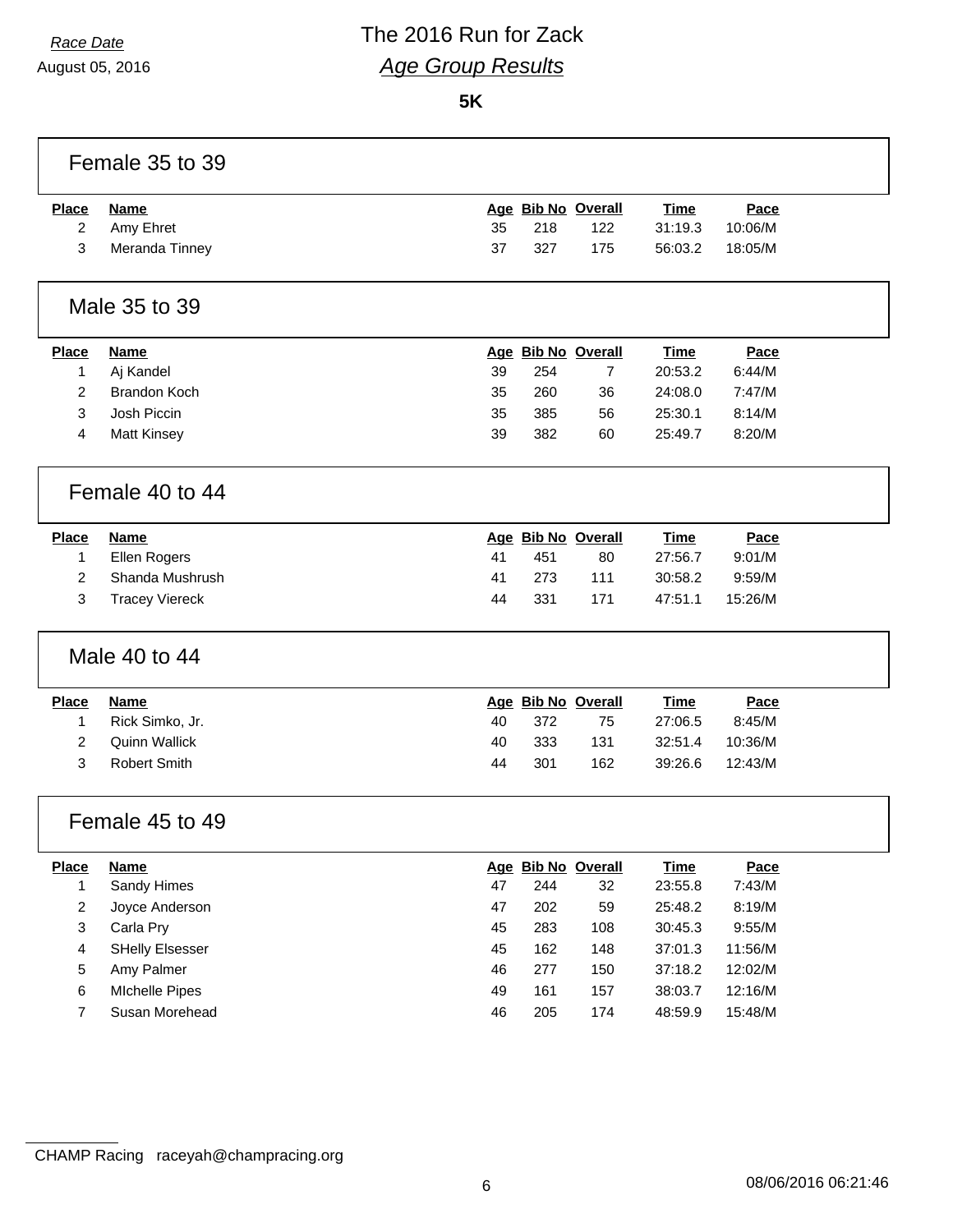August 05, 2016

 $\Gamma$ 

## *Race Date* The 2016 Run for Zack *Age Group Results*

**5K**

|                         | Female 35 to 39        |    |                    |                |             |         |
|-------------------------|------------------------|----|--------------------|----------------|-------------|---------|
| <b>Place</b>            | <b>Name</b>            |    | Age Bib No Overall |                | <b>Time</b> | Pace    |
| $\overline{2}$          | Amy Ehret              | 35 | 218                | 122            | 31:19.3     | 10:06/M |
| 3                       | Meranda Tinney         | 37 | 327                | 175            | 56:03.2     | 18:05/M |
|                         | Male 35 to 39          |    |                    |                |             |         |
| <b>Place</b>            | <b>Name</b>            |    | Age Bib No Overall |                | <b>Time</b> | Pace    |
| 1                       | Aj Kandel              | 39 | 254                | $\overline{7}$ | 20:53.2     | 6:44/M  |
| $\overline{2}$          | <b>Brandon Koch</b>    | 35 | 260                | 36             | 24:08.0     | 7:47/M  |
| 3                       | Josh Piccin            | 35 | 385                | 56             | 25:30.1     | 8:14/M  |
| 4                       | Matt Kinsey            | 39 | 382                | 60             | 25:49.7     | 8:20/M  |
|                         | Female 40 to 44        |    |                    |                |             |         |
| <b>Place</b>            | <b>Name</b>            |    | Age Bib No Overall |                | <b>Time</b> | Pace    |
| 1                       | Ellen Rogers           | 41 | 451                | 80             | 27:56.7     | 9:01/M  |
| $\overline{2}$          | Shanda Mushrush        | 41 | 273                | 111            | 30:58.2     | 9:59/M  |
| $\mathbf{3}$            | <b>Tracey Viereck</b>  | 44 | 331                | 171            | 47:51.1     | 15:26/M |
|                         | Male 40 to 44          |    |                    |                |             |         |
| <b>Place</b>            | <b>Name</b>            |    | Age Bib No Overall |                | <b>Time</b> | Pace    |
| 1                       | Rick Simko, Jr.        | 40 | 372                | 75             | 27:06.5     | 8:45/M  |
| $\overline{2}$          | <b>Quinn Wallick</b>   | 40 | 333                | 131            | 32:51.4     | 10:36/M |
| 3                       | <b>Robert Smith</b>    | 44 | 301                | 162            | 39:26.6     | 12:43/M |
|                         | Female 45 to 49        |    |                    |                |             |         |
| <b>Place</b>            | <b>Name</b>            |    | Age Bib No Overall |                | <b>Time</b> | Pace    |
| $\mathbf{1}$            | Sandy Himes            | 47 | 244                | 32             | 23:55.8     | 7:43/M  |
| $\overline{c}$          | Joyce Anderson         | 47 | 202                | 59             | 25:48.2     | 8:19/M  |
| $\mathbf{3}$            | Carla Pry              | 45 | 283                | 108            | 30:45.3     | 9:55/M  |
| $\overline{\mathbf{4}}$ | <b>SHelly Elsesser</b> | 45 | 162                | 148            | 37:01.3     | 11:56/M |
| $\sqrt{5}$              | Amy Palmer             | 46 | 277                | 150            | 37:18.2     | 12:02/M |
| 6                       | <b>Michelle Pipes</b>  | 49 | 161                | 157            | 38:03.7     | 12:16/M |
| $\overline{7}$          | Susan Morehead         | 46 | 205                | 174            | 48:59.9     | 15:48/M |
|                         |                        |    |                    |                |             |         |

٦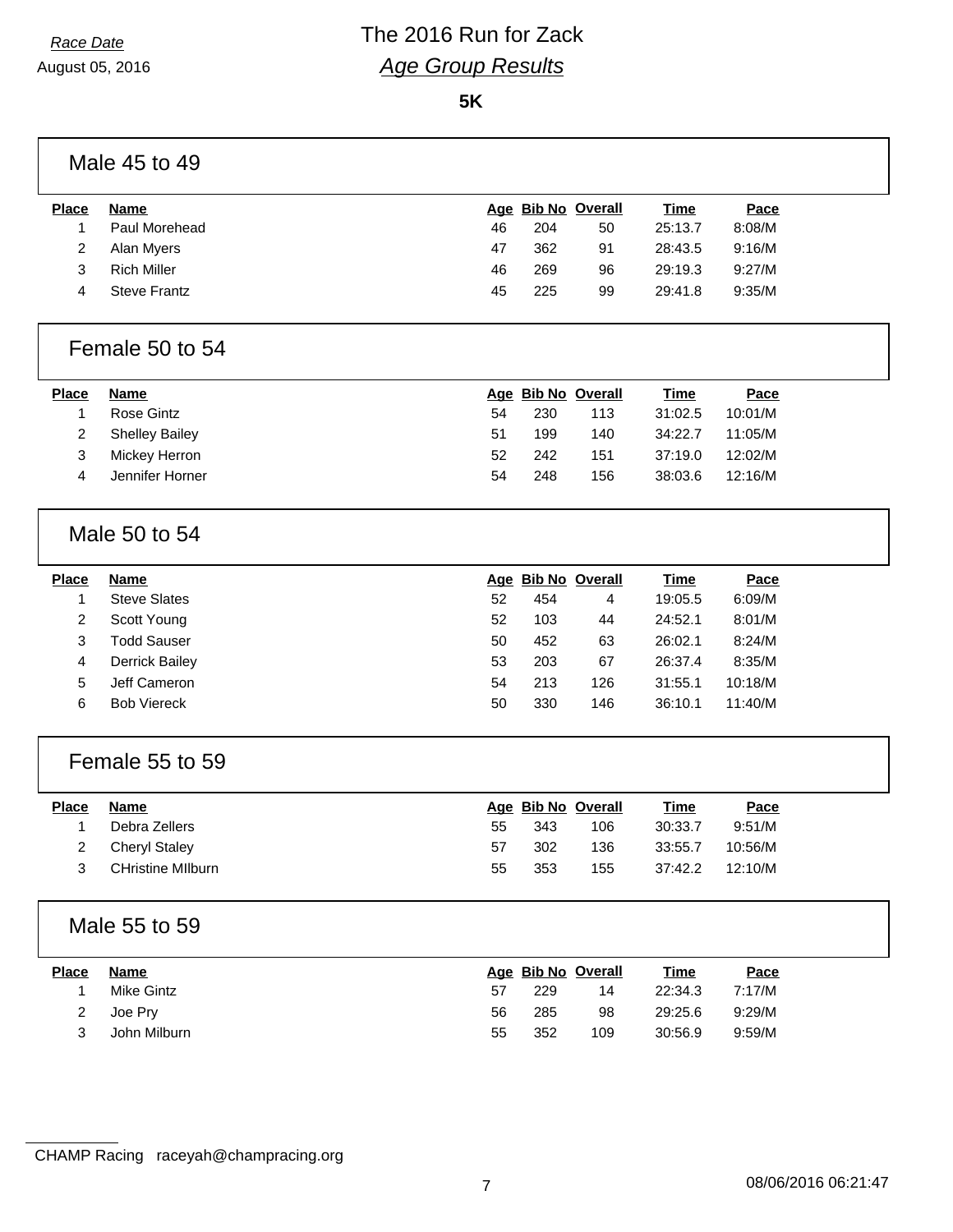**5K**

| <b>Time</b><br>Pace<br>25:13.7<br>8:08/M<br>28:43.5<br>9:16/M<br>29:19.3<br>9:27/M<br>29:41.8<br>9:35/M<br><b>Time</b><br>Pace<br>31:02.5<br>10:01/M<br>34:22.7<br>11:05/M<br>37:19.0<br>12:02/M<br>38:03.6<br>12:16/M |
|------------------------------------------------------------------------------------------------------------------------------------------------------------------------------------------------------------------------|
|                                                                                                                                                                                                                        |
|                                                                                                                                                                                                                        |
|                                                                                                                                                                                                                        |
|                                                                                                                                                                                                                        |
|                                                                                                                                                                                                                        |
|                                                                                                                                                                                                                        |
|                                                                                                                                                                                                                        |
|                                                                                                                                                                                                                        |
|                                                                                                                                                                                                                        |
|                                                                                                                                                                                                                        |
|                                                                                                                                                                                                                        |
|                                                                                                                                                                                                                        |
| Pace                                                                                                                                                                                                                   |
| 19:05.5<br>6:09/M                                                                                                                                                                                                      |
| 8:01/M                                                                                                                                                                                                                 |
| 26:02.1<br>8:24/M                                                                                                                                                                                                      |
| 26:37.4<br>8:35/M                                                                                                                                                                                                      |
| 10:18/M                                                                                                                                                                                                                |
| 11:40/M                                                                                                                                                                                                                |
|                                                                                                                                                                                                                        |
| Pace                                                                                                                                                                                                                   |
| 30:33.7<br>9:51/M                                                                                                                                                                                                      |
| 33:55.7<br>10:56/M                                                                                                                                                                                                     |
| 37:42.2<br>12:10/M                                                                                                                                                                                                     |
|                                                                                                                                                                                                                        |
| Pace                                                                                                                                                                                                                   |
| 22:34.3<br>7:17/M                                                                                                                                                                                                      |
| 29:25.6<br>9:29/M                                                                                                                                                                                                      |
| 30:56.9<br>9:59/M                                                                                                                                                                                                      |
| <b>Time</b><br>24:52.1<br>31:55.1<br>36:10.1<br><b>Time</b><br><b>Time</b>                                                                                                                                             |